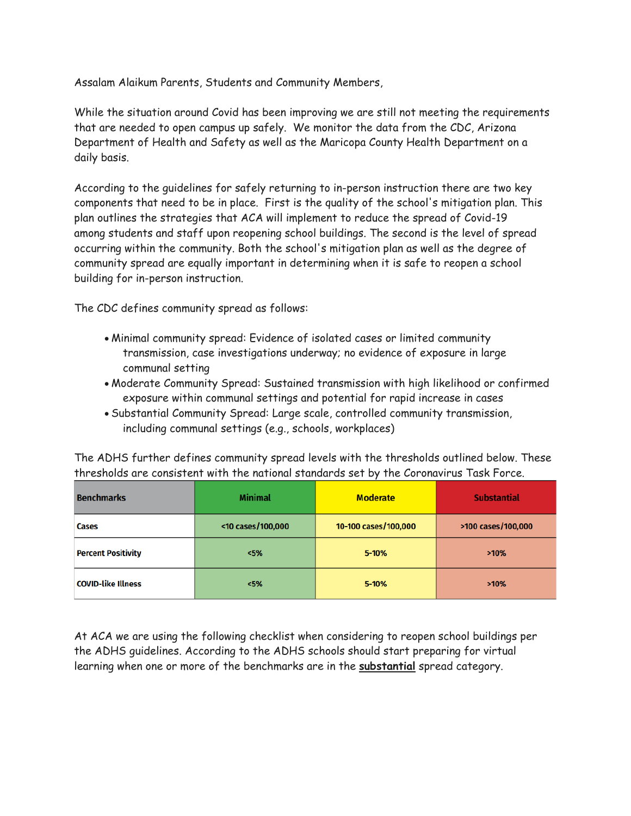Assalam Alaikum Parents, Students and Community Members,

While the situation around Covid has been improving we are still not meeting the requirements that are needed to open campus up safely. We monitor the data from the CDC, Arizona Department of Health and Safety as well as the Maricopa County Health Department on a daily basis.

According to the guidelines for safely returning to in-person instruction there are two key components that need to be in place. First is the quality of the school's mitigation plan. This plan outlines the strategies that ACA will implement to reduce the spread of Covid-19 among students and staff upon reopening school buildings. The second is the level of spread occurring within the community. Both the school's mitigation plan as well as the degree of community spread are equally important in determining when it is safe to reopen a school building for in-person instruction.

The CDC defines community spread as follows:

- Minimal community spread: Evidence of isolated cases or limited community transmission, case investigations underway; no evidence of exposure in large communal setting
- Moderate Community Spread: Sustained transmission with high likelihood or confirmed exposure within communal settings and potential for rapid increase in cases
- Substantial Community Spread: Large scale, controlled community transmission, including communal settings (e.g., schools, workplaces)

The ADHS further defines community spread levels with the thresholds outlined below. These thresholds are consistent with the national standards set by the Coronavirus Task Force.

| <b>Benchmarks</b>         | <b>Minimal</b>    | <b>Moderate</b>      | <b>Substantial</b> |
|---------------------------|-------------------|----------------------|--------------------|
| <b>Cases</b>              | <10 cases/100,000 | 10-100 cases/100,000 | >100 cases/100,000 |
| <b>Percent Positivity</b> | <5%               | $5 - 10%$            | >10%               |
| <b>COVID-like Illness</b> | <5%               | $5 - 10%$            | >10%               |

At ACA we are using the following checklist when considering to reopen school buildings per the ADHS guidelines. According to the ADHS schools should start preparing for virtual learning when one or more of the benchmarks are in the **substantial** spread category.